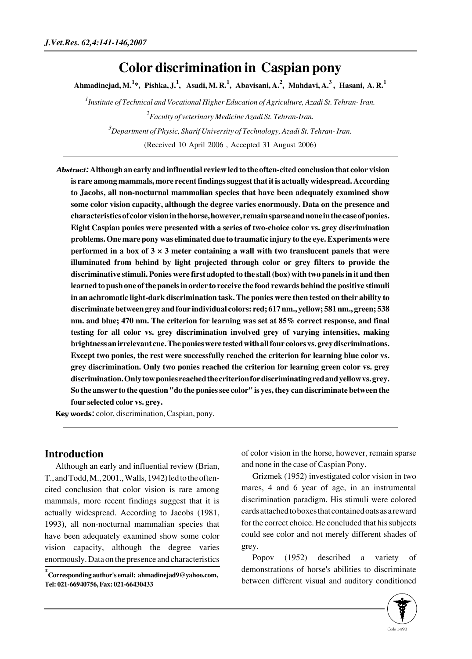# **Color discrimination in Caspian pony**

**Ahmadinejad, M.<sup>1</sup> \*, Pishka, J.<sup>1</sup> , Asadi, M. R.<sup>1</sup> , Abavisani, A.<sup>2</sup> , Mahdavi, A.<sup>3</sup> , Hasani, A. R.<sup>1</sup>**

*1 Institute of Technical and Vocational Higher Education of Agriculture, Azadi St. Tehran- Iran. 2 Faculty of veterinary Medicine Azadi St. Tehran-Iran. 3 Department of Physic, Sharif University of Technology, Azadi St. Tehran- Iran.*

(Received 10 April 2006 , Accepted 31 August 2006)

Abstract: **Although an early and influential review led to the often-cited conclusion that color vision is rare among mammals, more recent findings suggest that it is actually widespread. According to Jacobs, all non-nocturnal mammalian species that have been adequately examined show some color vision capacity, although the degree varies enormously. Data on the presence and characteristics of color vision in the horse, however, remain sparse and none in the case of ponies. Eight Caspian ponies were presented with a series of two-choice color vs. grey discrimination problems. One mare pony was eliminated due to traumatic injury to the eye. Experiments were performed in a box of 3 × 3 meter containing a wall with two translucent panels that were illuminated from behind by light projected through color or grey filters to provide the discriminative stimuli. Ponies were first adopted to the stall (box) with two panels in it and then learned to push one of the panels in order to receive the food rewards behind the positive stimuli in an achromatic light-dark discrimination task. The ponies were then tested on their ability to discriminate between grey and four individual colors: red; 617 nm., yellow; 581 nm., green; 538 nm. and blue; 470 nm. The criterion for learning was set at 85% correct response, and final testing for all color vs. grey discrimination involved grey of varying intensities, making brightness an irrelevant cue. The ponies were tested with all four colors vs. grey discriminations. Except two ponies, the rest were successfully reached the criterion for learning blue color vs. grey discrimination. Only two ponies reached the criterion for learning green color vs. grey discrimination. Only tow ponies reached the criterion for discriminating red and yellow vs. grey. So the answer to the question "do the ponies see color" is yes, they can discriminate between the four selected color vs. grey.** 

Key words: color, discrimination, Caspian, pony.

## **Introduction**

Although an early and influential review (Brian, T., and Todd, M., 2001., Walls, 1942) led to the oftencited conclusion that color vision is rare among mammals, more recent findings suggest that it is actually widespread. According to Jacobs (1981, 1993), all non-nocturnal mammalian species that have been adequately examined show some color vision capacity, although the degree varies enormously. Data on the presence and characteristics of color vision in the horse, however, remain sparse and none in the case of Caspian Pony.

Grizmek (1952) investigated color vision in two mares, 4 and 6 year of age, in an instrumental discrimination paradigm. His stimuli were colored cards attached to boxes that contained oats as a reward for the correct choice. He concluded that his subjects could see color and not merely different shades of grey.

Popov (1952) described a variety of demonstrations of horse's abilities to discriminate between different visual and auditory conditioned



**<sup>\*</sup> Corresponding author's email: ahmadinejad9@yahoo.com, Tel: 021-66940756, Fax: 021-66430433**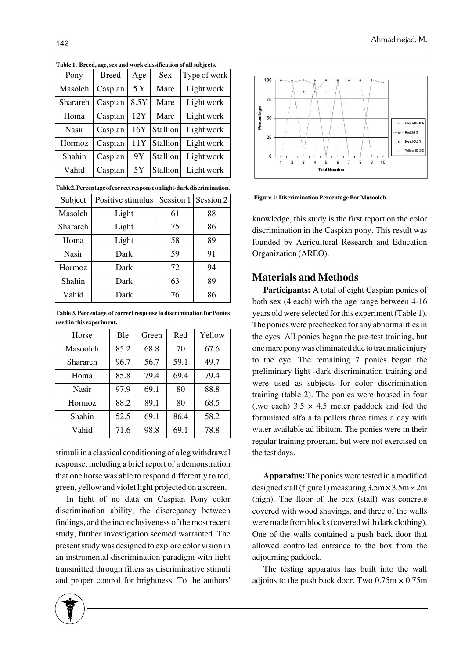| Pony     | <b>Breed</b> | Age  | <b>Sex</b> | Type of work |
|----------|--------------|------|------------|--------------|
| Masoleh  | Caspian      | 5Y   | Mare       | Light work   |
| Sharareh | Caspian      | 8.5Y | Mare       | Light work   |
| Homa     | Caspian      | 12Y  | Mare       | Light work   |
| Nasir    | Caspian      | 16Y  | Stallion   | Light work   |
| Hormoz   | Caspian      | 11Y  | Stallion   | Light work   |
| Shahin   | Caspian      | 9Y   | Stallion   | Light work   |
| Vahid    | Caspian      | 5Y   | Stallion   | Light work   |

**Table 1. Breed, age, sex and work classification of all subjects.**

**Table2. Percentage of correct response on light-dark discrimination.**

| Subject  | Positive stimulus |    | Session 1   Session 2 |
|----------|-------------------|----|-----------------------|
| Masoleh  | Light             | 61 | 88                    |
| Sharareh | Light             | 75 | 86                    |
| Homa     | Light             | 58 | 89                    |
| Nasir    | Dark              | 59 | 91                    |
| Hormoz   | Dark              | 72 | 94                    |
| Shahin   | Dark              | 63 | 89                    |
| Vahid    | Dark              | 76 | 86                    |

**Table 3. Percentage of correct response to discrimination for Ponies used in this experiment.**

| Horse         | <b>B</b> le | Green | Red  | Yellow |
|---------------|-------------|-------|------|--------|
| Masooleh      | 85.2        | 68.8  | 70   | 67.6   |
| Sharareh      | 96.7        | 56.7  | 59.1 | 49.7   |
| Homa          | 85.8        | 79.4  | 69.4 | 79.4   |
| Nasir         | 97.9        | 69.1  | 80   | 88.8   |
| <b>Hormoz</b> | 88.2        | 89.1  | 80   | 68.5   |
| Shahin        | 52.5        | 69.1  | 86.4 | 58.2   |
| Vahid         | 71.6        | 98.8  | 69.1 | 78.8   |

stimuli in a classical conditioning of a leg withdrawal response, including a brief report of a demonstration that one horse was able to respond differently to red, green, yellow and violet light projected on a screen.

In light of no data on Caspian Pony color discrimination ability, the discrepancy between findings, and the inconclusiveness of the most recent study, further investigation seemed warranted. The present study was designed to explore color vision in an instrumental discrimination paradigm with light transmitted through filters as discriminative stimuli and proper control for brightness. To the authors'





**Figure 1: Discrimination Percentage For Masooleh.**

knowledge, this study is the first report on the color discrimination in the Caspian pony. This result was founded by Agricultural Research and Education Organization (AREO).

### **Materials and Methods**

**Participants:** A total of eight Caspian ponies of both sex (4 each) with the age range between 4-16 years old were selected for this experiment (Table 1). The ponies were prechecked for any abnormalities in the eyes. All ponies began the pre-test training, but one mare pony was eliminated due to traumatic injury to the eye. The remaining 7 ponies began the preliminary light -dark discrimination training and were used as subjects for color discrimination training (table 2). The ponies were housed in four (two each)  $3.5 \times 4.5$  meter paddock and fed the formulated alfa alfa pellets three times a day with water available ad libitum. The ponies were in their regular training program, but were not exercised on the test days.

**Apparatus:** The ponies were tested in a modified designed stall (figure1) measuring  $3.5 \text{m} \times 3.5 \text{m} \times 2 \text{m}$ (high). The floor of the box (stall) was concrete covered with wood shavings, and three of the walls were made from blocks (covered with dark clothing). One of the walls contained a push back door that allowed controlled entrance to the box from the adjourning paddock.

The testing apparatus has built into the wall adjoins to the push back door. Two  $0.75m \times 0.75m$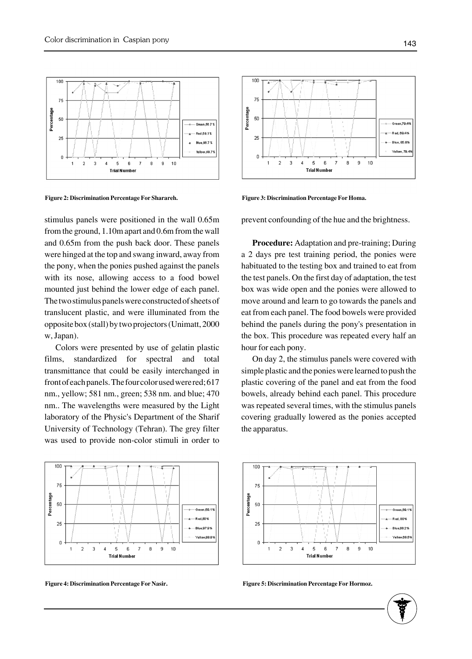

**Figure 2: Discrimination Percentage For Sharareh.**

stimulus panels were positioned in the wall 0.65m from the ground, 1.10m apart and 0.6m from the wall and 0.65m from the push back door. These panels were hinged at the top and swang inward, away from the pony, when the ponies pushed against the panels with its nose, allowing access to a food bowel mounted just behind the lower edge of each panel. The two stimulus panels were constructed of sheets of translucent plastic, and were illuminated from the opposite box (stall) by two projectors (Unimatt, 2000 w, Japan).

Colors were presented by use of gelatin plastic films, standardized for spectral and total transmittance that could be easily interchanged in front of each panels. The four color used were red; 617 nm., yellow; 581 nm., green; 538 nm. and blue; 470 nm.. The wavelengths were measured by the Light laboratory of the Physic's Department of the Sharif University of Technology (Tehran). The grey filter was used to provide non-color stimuli in order to





**Figure 3: Discrimination Percentage For Homa.**

prevent confounding of the hue and the brightness.

**Procedure:** Adaptation and pre-training; During a 2 days pre test training period, the ponies were habituated to the testing box and trained to eat from the test panels. On the first day of adaptation, the test box was wide open and the ponies were allowed to move around and learn to go towards the panels and eat from each panel. The food bowels were provided behind the panels during the pony's presentation in the box. This procedure was repeated every half an hour for each pony.

On day 2, the stimulus panels were covered with simple plastic and the ponies were learned to push the plastic covering of the panel and eat from the food bowels, already behind each panel. This procedure was repeated several times, with the stimulus panels covering gradually lowered as the ponies accepted the apparatus.



**Figure 4: Discrimination Percentage For Nasir. Figure 5: Discrimination Percentage For Hormoz.**

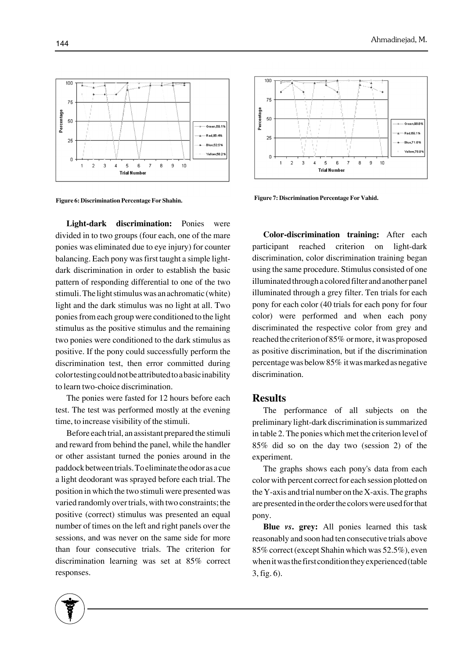

**Figure 6: Discrimination Percentage For Shahin. Figure 7: Discrimination Percentage For Vahid.**

**Light-dark discrimination:** Ponies were divided in to two groups (four each, one of the mare ponies was eliminated due to eye injury) for counter balancing. Each pony was first taught a simple lightdark discrimination in order to establish the basic pattern of responding differential to one of the two stimuli. The light stimulus was an achromatic (white) light and the dark stimulus was no light at all. Two ponies from each group were conditioned to the light stimulus as the positive stimulus and the remaining two ponies were conditioned to the dark stimulus as positive. If the pony could successfully perform the discrimination test, then error committed during color testing could not be attributed to a basic inability to learn two-choice discrimination.

The ponies were fasted for 12 hours before each test. The test was performed mostly at the evening time, to increase visibility of the stimuli.

Before each trial, an assistant prepared the stimuli and reward from behind the panel, while the handler or other assistant turned the ponies around in the paddock between trials. To eliminate the odor as a cue a light deodorant was sprayed before each trial. The position in which the two stimuli were presented was varied randomly over trials, with two constraints; the positive (correct) stimulus was presented an equal number of times on the left and right panels over the sessions, and was never on the same side for more than four consecutive trials. The criterion for discrimination learning was set at 85% correct responses.



**Color-discrimination training:** After each participant reached criterion on light-dark discrimination, color discrimination training began using the same procedure. Stimulus consisted of one illuminated through a colored filter and another panel illuminated through a grey filter. Ten trials for each pony for each color (40 trials for each pony for four color) were performed and when each pony discriminated the respective color from grey and reached the criterion of 85% or more, it was proposed as positive discrimination, but if the discrimination percentage was below 85% it was marked as negative discrimination.

#### **Results**

The performance of all subjects on the preliminary light-dark discrimination is summarized in table 2. The ponies which met the criterion level of 85% did so on the day two (session 2) of the experiment.

The graphs shows each pony's data from each color with percent correct for each session plotted on the Y-axis and trial number on the X-axis. The graphs are presented in the order the colors were used for that pony.

**Blue** *vs***. grey:** All ponies learned this task reasonably and soon had ten consecutive trials above 85% correct (except Shahin which was 52.5%), even when it was the first condition they experienced (table 3, fig. 6).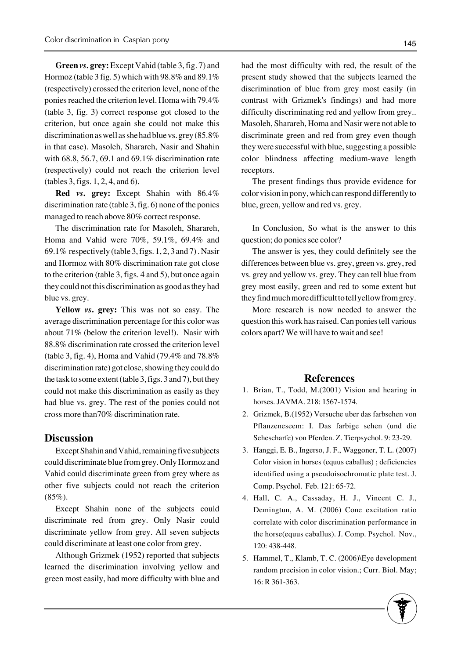**Green** *vs***. grey:** Except Vahid (table 3, fig. 7) and Hormoz (table 3 fig. 5) which with 98.8% and 89.1% (respectively) crossed the criterion level, none of the ponies reached the criterion level. Homa with 79.4% (table 3, fig. 3) correct response got closed to the criterion, but once again she could not make this discrimination as well as she had blue vs. grey (85.8% in that case). Masoleh, Sharareh, Nasir and Shahin with 68.8, 56.7, 69.1 and 69.1% discrimination rate (respectively) could not reach the criterion level (tables 3, figs. 1, 2, 4, and 6).

**Red** *vs***. grey:** Except Shahin with 86.4% discrimination rate (table 3, fig. 6) none of the ponies managed to reach above 80% correct response.

The discrimination rate for Masoleh, Sharareh, Homa and Vahid were 70%, 59.1%, 69.4% and 69.1% respectively (table 3, figs. 1, 2, 3 and 7) . Nasir and Hormoz with 80% discrimination rate got close to the criterion (table 3, figs. 4 and 5), but once again they could not this discrimination as good as they had blue vs. grey.

**Yellow** *vs***. grey:** This was not so easy. The average discrimination percentage for this color was about 71% (below the criterion level!). Nasir with 88.8% discrimination rate crossed the criterion level (table 3, fig. 4), Homa and Vahid (79.4% and 78.8% discrimination rate) got close, showing they could do the task to some extent (table 3, figs. 3 and 7), but they could not make this discrimination as easily as they had blue vs. grey. The rest of the ponies could not cross more than70% discrimination rate.

#### **Discussion**

Except Shahin and Vahid, remaining five subjects could discriminate blue from grey. Only Hormoz and Vahid could discriminate green from grey where as other five subjects could not reach the criterion  $(85\%)$ .

Except Shahin none of the subjects could discriminate red from grey. Only Nasir could discriminate yellow from grey. All seven subjects could discriminate at least one color from grey.

Although Grizmek (1952) reported that subjects learned the discrimination involving yellow and green most easily, had more difficulty with blue and had the most difficulty with red, the result of the present study showed that the subjects learned the discrimination of blue from grey most easily (in contrast with Grizmek's findings) and had more difficulty discriminating red and yellow from grey.. Masoleh, Sharareh, Homa and Nasir were not able to discriminate green and red from grey even though they were successful with blue, suggesting a possible color blindness affecting medium-wave length receptors.

The present findings thus provide evidence for color vision in pony, which can respond differently to blue, green, yellow and red vs. grey.

In Conclusion, So what is the answer to this question; do ponies see color?

The answer is yes, they could definitely see the differences between blue vs. grey, green vs. grey, red vs. grey and yellow vs. grey. They can tell blue from grey most easily, green and red to some extent but they find much more difficult to tell yellow from grey.

More research is now needed to answer the question this work has raised. Can ponies tell various colors apart? We will have to wait and see!

### **References**

- 1. Brian, T., Todd, M.(2001) Vision and hearing in horses. JAVMA. 218: 1567-1574.
- 2. Grizmek, B.(1952) Versuche uber das farbsehen von Pflanzeneseem: I. Das farbige sehen (und die Sehescharfe) von Pferden. Z. Tierpsychol. 9: 23-29.
- Hanggi, E. B., Ingerso, J. F., Waggoner, T. L. (2007) 3. Color vision in horses (equus caballus) ; deficiencies identified using a pseudoisochromatic plate test. J. Comp. Psychol. Feb. 121: 65-72.
- 4. Hall, C. A., Cassaday, H. J., Vincent C. J., Demingtun, A. M. (2006) Cone excitation ratio correlate with color discrimination performance in the horse(equus caballus). J. Comp. Psychol. Nov., 120: 438-448.
- 5. Hammel, T., Klamb, T. C. (2006)\Eye development random precision in color vision.; Curr. Biol. May; 16: R 361-363.

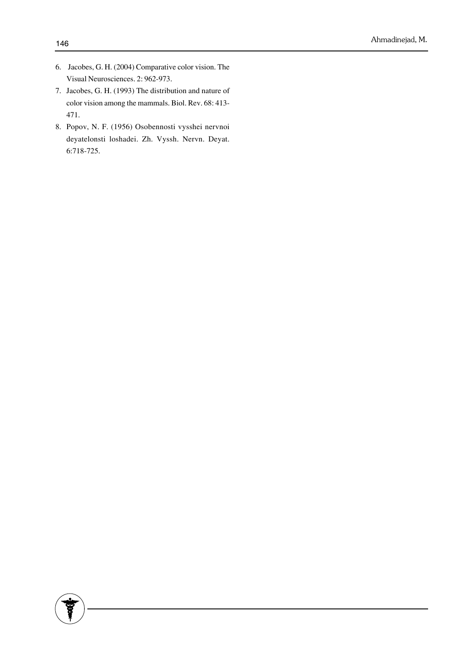- 6. Jacobes, G. H. (2004) Comparative color vision. The Visual Neurosciences. 2: 962-973.
- 7. Jacobes, G. H. (1993) The distribution and nature of color vision among the mammals. Biol. Rev. 68: 413- 471.
- 8. Popov, N. F. (1956) Osobennosti vysshei nervnoi deyatelonsti loshadei. Zh. Vyssh. Nervn. Deyat. 6:718-725.